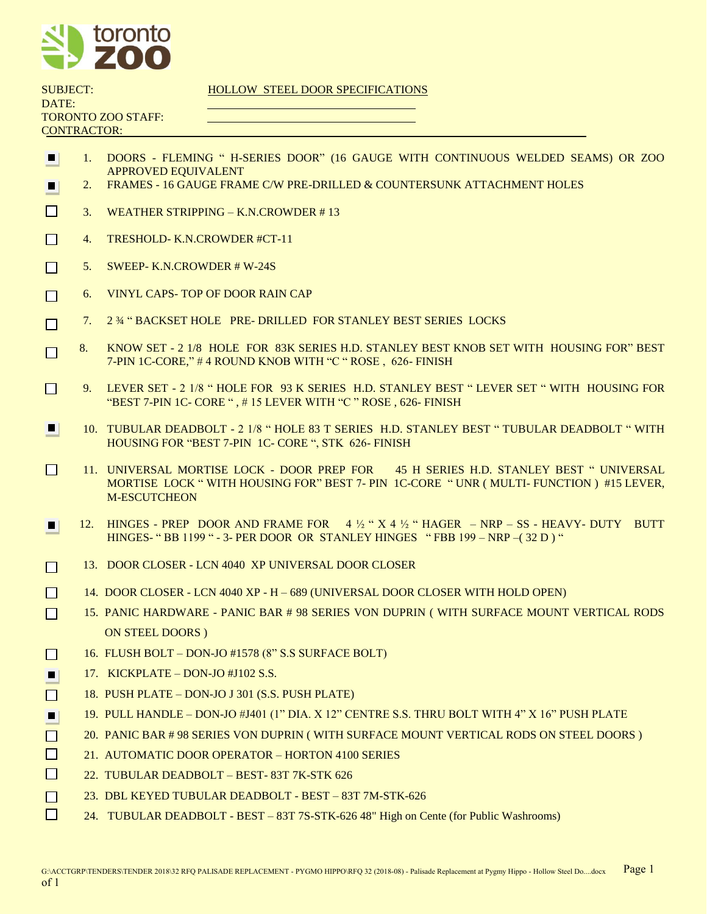

| <b>SUBJECT:</b>    |  |
|--------------------|--|
| DATE:              |  |
| TORONTO ZOO STAFF: |  |
| <b>CONTRACTOR:</b> |  |
|                    |  |

## HOLLOW STEEL DOOR SPECIFICATIONS

- 1. DOORS FLEMING " H-SERIES DOOR" (16 GAUGE WITH CONTINUOUS WELDED SEAMS) OR ZOO  $\blacksquare$ APPROVED EQUIVALENT
- 2. FRAMES 16 GAUGE FRAME C/W PRE-DRILLED & COUNTERSUNK ATTACHMENT HOLES  $\blacksquare$
- $\Box$ 3. WEATHER STRIPPING – K.N.CROWDER # 13
- П 4. TRESHOLD- K.N.CROWDER #CT-11
- 5. SWEEP- K.N.CROWDER # W-24S  $\Box$
- 6. VINYL CAPS- TOP OF DOOR RAIN CAP П
- 7. 2 ¾ " BACKSET HOLE PRE- DRILLED FOR STANLEY BEST SERIES LOCKS П
- □ 8. KNOW SET 2 1/8 HOLE FOR 83K SERIES H.D. STANLEY BEST KNOB SET WITH HOUSING FOR" BEST 7-PIN 1C-CORE," # 4 ROUND KNOB WITH "C " ROSE , 626- FINISH
- П 9. LEVER SET - 2 1/8 " HOLE FOR 93 K SERIES H.D. STANLEY BEST " LEVER SET " WITH HOUSING FOR "BEST 7-PIN 1C- CORE " , # 15 LEVER WITH "C " ROSE , 626- FINISH
- 10. TUBULAR DEADBOLT 2 1/8 " HOLE 83 T SERIES H.D. STANLEY BEST " TUBULAR DEADBOLT " WITH  $\blacksquare$ HOUSING FOR "BEST 7-PIN 1C- CORE ", STK 626- FINISH
- $\Box$ 11. UNIVERSAL MORTISE LOCK - DOOR PREP FOR 45 H SERIES H.D. STANLEY BEST " UNIVERSAL MORTISE LOCK " WITH HOUSING FOR" BEST 7- PIN 1C-CORE " UNR ( MULTI- FUNCTION ) #15 LEVER, M-ESCUTCHEON
- $12.$  HINGES PREP DOOR AND FRAME FOR 4  $\frac{1}{2}$  " X 4  $\frac{1}{2}$  " HAGER NRP SS HEAVY- DUTY BUTT HINGES- " BB 1199 " - 3- PER DOOR OR STANLEY HINGES " FBB 199 – NRP –( 32 D ) "
- 13. DOOR CLOSER LCN 4040 XP UNIVERSAL DOOR CLOSER П
- 14. DOOR CLOSER LCN 4040 XP H 689 (UNIVERSAL DOOR CLOSER WITH HOLD OPEN) П
- П 15. PANIC HARDWARE - PANIC BAR # 98 SERIES VON DUPRIN ( WITH SURFACE MOUNT VERTICAL RODS ON STEEL DOORS )
- 16. FLUSH BOLT DON-JO #1578 (8" S.S SURFACE BOLT) П
- 17. KICKPLATE DON-JO #J102 S.S. a l
- 18. PUSH PLATE DON-JO J 301 (S.S. PUSH PLATE)  $\Box$
- 19. PULL HANDLE DON-JO #J401 (1" DIA. X 12" CENTRE S.S. THRU BOLT WITH 4" X 16" PUSH PLATE  $\blacksquare$
- П 20. PANIC BAR # 98 SERIES VON DUPRIN ( WITH SURFACE MOUNT VERTICAL RODS ON STEEL DOORS )
- $\Box$ 21. AUTOMATIC DOOR OPERATOR – HORTON 4100 SERIES
- П 22. TUBULAR DEADBOLT – BEST- 83T 7K-STK 626
- П 23. DBL KEYED TUBULAR DEADBOLT - BEST – 83T 7M-STK-626
- П 24. TUBULAR DEADBOLT - BEST – 83T 7S-STK-626 48" High on Cente (for Public Washrooms)